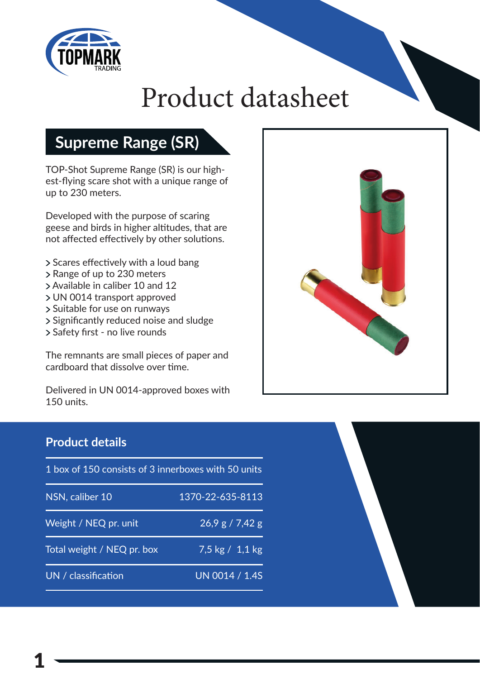

# Product datasheet

## **Supreme Range (SR)**

TOP-Shot Supreme Range (SR) is our highest-flying scare shot with a unique range of up to 230 meters.

Developed with the purpose of scaring geese and birds in higher altitudes, that are not affected effectively by other solutions.

- > Scares effectively with a loud bang
- > Range of up to 230 meters
- Available in caliber 10 and 12
- UN 0014 transport approved
- Suitable for use on runways
- > Significantly reduced noise and sludge
- > Safety first no live rounds

The remnants are small pieces of paper and cardboard that dissolve over time.

Delivered in UN 0014-approved boxes with 150 units.



### **Product details**

| 1 box of 150 consists of 3 innerboxes with 50 units |                   |
|-----------------------------------------------------|-------------------|
| NSN, caliber 10                                     | 1370-22-635-8113  |
| Weight / NEQ pr. unit                               | 26.9 g / 7.42 g   |
| Total weight / NEQ pr. box                          | 7,5 kg $/$ 1,1 kg |
| UN / classification                                 | UN 0014 / 1.4S    |